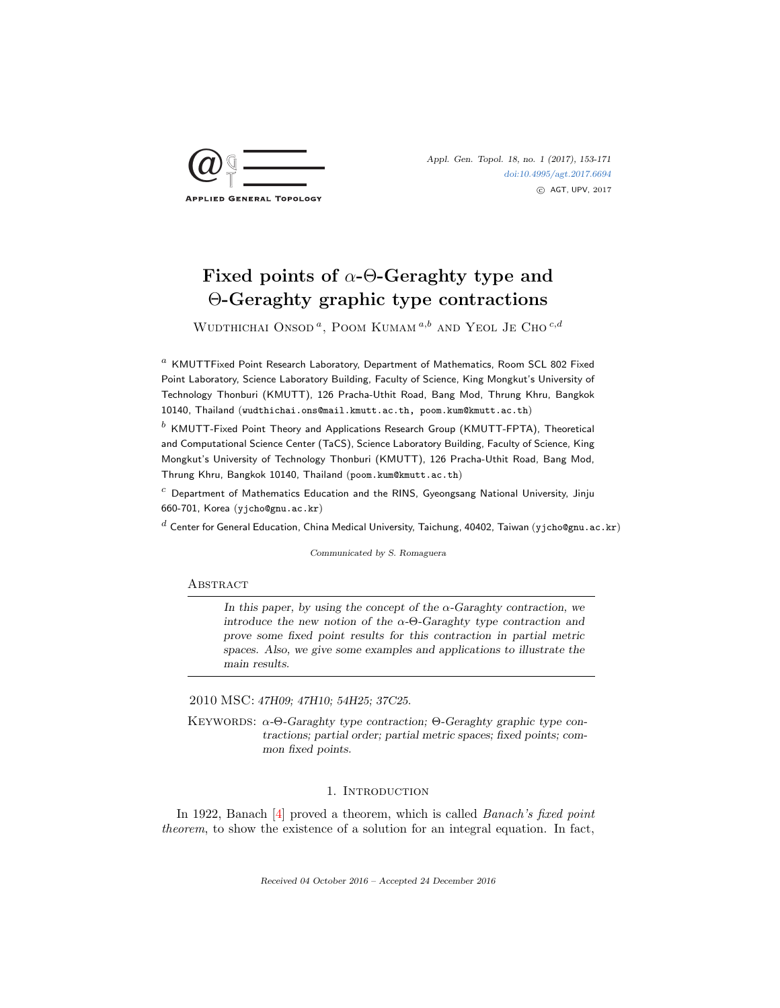

Appl. Gen. Topol. 18, no. 1 (2017), 153-171 [doi:10.4995/agt.2017.6694](http://dx.doi.org/10.4995/agt.2017.6694) c AGT, UPV, 2017

# Fixed points of  $\alpha$ - $\Theta$ -Geraghty type and Θ-Geraghty graphic type contractions

Wudthichai Onsod<sup><sup>a</sup>, Poom Kumam<sup>a,b</sup> and Yeol Je Cho<sup>c,d</sup></sup>

 $a$  KMUTTFixed Point Research Laboratory, Department of Mathematics, Room SCL 802 Fixed Point Laboratory, Science Laboratory Building, Faculty of Science, King Mongkut's University of Technology Thonburi (KMUTT), 126 Pracha-Uthit Road, Bang Mod, Thrung Khru, Bangkok 10140, Thailand (wudthichai.ons@mail.kmutt.ac.th, poom.kum@kmutt.ac.th)

 $<sup>b</sup>$  KMUTT-Fixed Point Theory and Applications Research Group (KMUTT-FPTA), Theoretical</sup> and Computational Science Center (TaCS), Science Laboratory Building, Faculty of Science, King Mongkut's University of Technology Thonburi (KMUTT), 126 Pracha-Uthit Road, Bang Mod, Thrung Khru, Bangkok 10140, Thailand (poom.kum@kmutt.ac.th)

 $c$  Department of Mathematics Education and the RINS, Gyeongsang National University, Jinju 660-701, Korea (yjcho@gnu.ac.kr)

 $d$  Center for General Education, China Medical University, Taichung, 40402, Taiwan (yjcho@gnu.ac.kr)

Communicated by S. Romaguera

**ABSTRACT** 

In this paper, by using the concept of the  $\alpha$ -Garaghty contraction, we introduce the new notion of the  $\alpha$ -Θ-Garaghty type contraction and prove some fixed point results for this contraction in partial metric spaces. Also, we give some examples and applications to illustrate the main results.

## 2010 MSC: 47H09; 47H10; 54H25; 37C25.

KEYWORDS:  $\alpha$ -Θ-Garaghty type contraction; Θ-Geraghty graphic type contractions; partial order; partial metric spaces; fixed points; common fixed points.

## 1. INTRODUCTION

In 1922, Banach [\[4\]](#page-17-0) proved a theorem, which is called Banach's fixed point theorem, to show the existence of a solution for an integral equation. In fact,

Received 04 October 2016 – Accepted 24 December 2016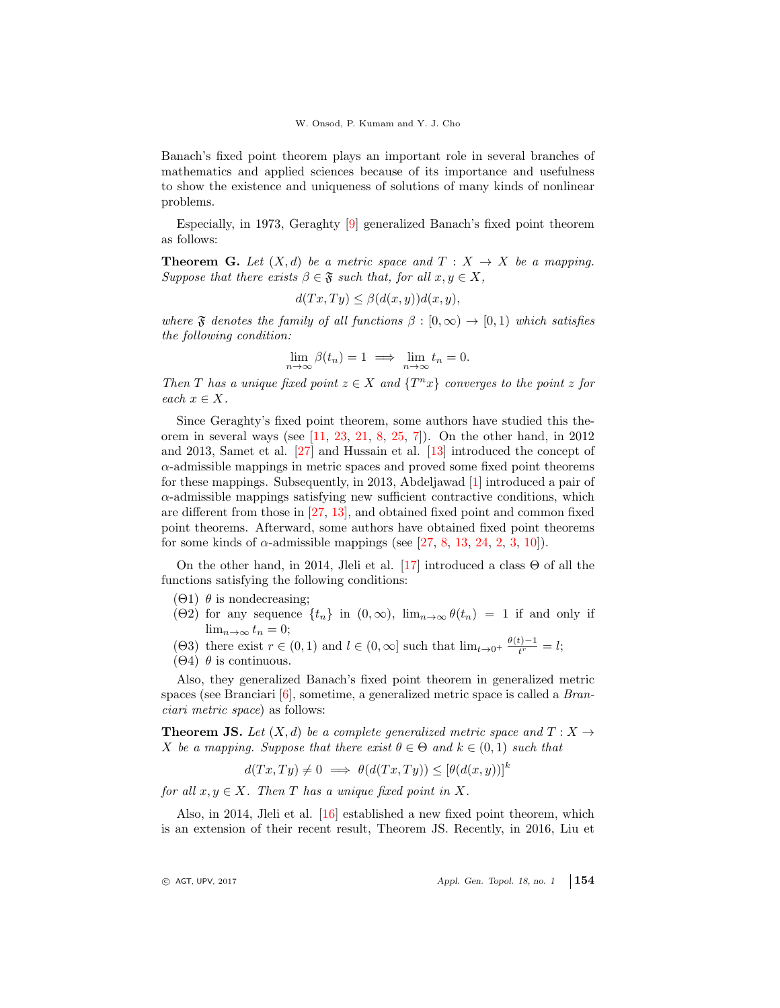W. Onsod, P. Kumam and Y. J. Cho

Banach's fixed point theorem plays an important role in several branches of mathematics and applied sciences because of its importance and usefulness to show the existence and uniqueness of solutions of many kinds of nonlinear problems.

Especially, in 1973, Geraghty [\[9\]](#page-18-0) generalized Banach's fixed point theorem as follows:

**Theorem G.** Let  $(X,d)$  be a metric space and  $T : X \rightarrow X$  be a mapping. Suppose that there exists  $\beta \in \mathfrak{F}$  such that, for all  $x, y \in X$ ,

$$
d(Tx, Ty) \le \beta(d(x, y))d(x, y),
$$

where  $\mathfrak F$  denotes the family of all functions  $\beta : [0,\infty) \to [0,1)$  which satisfies the following condition:

$$
\lim_{n \to \infty} \beta(t_n) = 1 \implies \lim_{n \to \infty} t_n = 0.
$$

Then T has a unique fixed point  $z \in X$  and  $\{T^n x\}$  converges to the point z for each  $x \in X$ .

Since Geraghty's fixed point theorem, some authors have studied this theorem in several ways (see  $[11, 23, 21, 8, 25, 7]$  $[11, 23, 21, 8, 25, 7]$  $[11, 23, 21, 8, 25, 7]$  $[11, 23, 21, 8, 25, 7]$  $[11, 23, 21, 8, 25, 7]$  $[11, 23, 21, 8, 25, 7]$  $[11, 23, 21, 8, 25, 7]$  $[11, 23, 21, 8, 25, 7]$  $[11, 23, 21, 8, 25, 7]$  $[11, 23, 21, 8, 25, 7]$  $[11, 23, 21, 8, 25, 7]$ ). On the other hand, in 2012 and 2013, Samet et al. [\[27\]](#page-18-6) and Hussain et al. [\[13\]](#page-18-7) introduced the concept of  $\alpha$ -admissible mappings in metric spaces and proved some fixed point theorems for these mappings. Subsequently, in 2013, Abdeljawad [\[1\]](#page-17-2) introduced a pair of  $\alpha$ -admissible mappings satisfying new sufficient contractive conditions, which are different from those in [\[27,](#page-18-6) [13\]](#page-18-7), and obtained fixed point and common fixed point theorems. Afterward, some authors have obtained fixed point theorems for some kinds of  $\alpha$ -admissible mappings (see [\[27,](#page-18-6) [8,](#page-18-4) [13,](#page-18-7) [24,](#page-18-8) [2,](#page-17-3) [3,](#page-17-4) [10\]](#page-18-9)).

On the other hand, in 2014, Jleli et al. [\[17\]](#page-18-10) introduced a class Θ of all the functions satisfying the following conditions:

- $(\Theta 1)$   $\theta$  is nondecreasing;
- (Θ2) for any sequence  $\{t_n\}$  in  $(0,\infty)$ ,  $\lim_{n\to\infty}\theta(t_n) = 1$  if and only if  $\lim_{n\to\infty}t_n=0;$
- (Θ3) there exist  $r \in (0,1)$  and  $l \in (0,\infty]$  such that  $\lim_{t\to 0^+} \frac{\theta(t)-1}{t^r}$  $\frac{t^{j-1}}{t^r} = l;$
- (Θ4)  $θ$  is continuous.

Also, they generalized Banach's fixed point theorem in generalized metric spaces (see Branciari  $[6]$ , sometime, a generalized metric space is called a *Bran*ciari metric space) as follows:

**Theorem JS.** Let  $(X, d)$  be a complete generalized metric space and  $T : X \rightarrow$ X be a mapping. Suppose that there exist  $\theta \in \Theta$  and  $k \in (0,1)$  such that

$$
d(Tx, Ty) \neq 0 \implies \theta(d(Tx, Ty)) \leq [\theta(d(x, y))]^{k}
$$

for all  $x, y \in X$ . Then T has a unique fixed point in X.

Also, in 2014, Jleli et al. [\[16\]](#page-18-11) established a new fixed point theorem, which is an extension of their recent result, Theorem JS. Recently, in 2016, Liu et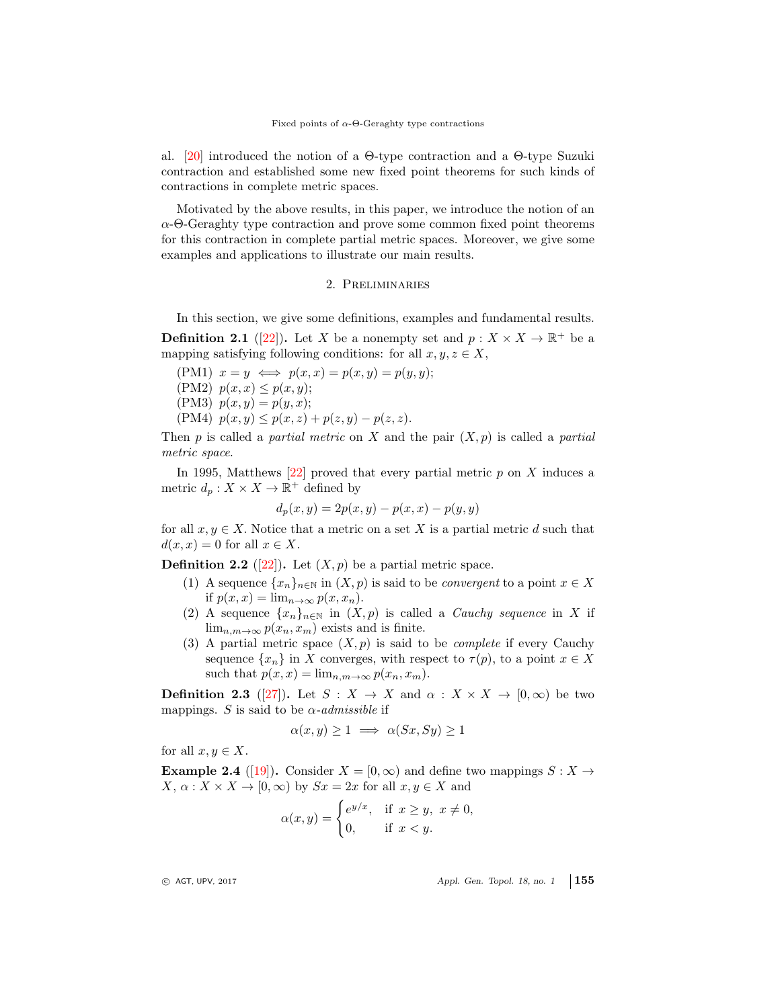al. [\[20\]](#page-18-12) introduced the notion of a Θ-type contraction and a Θ-type Suzuki contraction and established some new fixed point theorems for such kinds of contractions in complete metric spaces.

Motivated by the above results, in this paper, we introduce the notion of an  $\alpha$ -Θ-Geraghty type contraction and prove some common fixed point theorems for this contraction in complete partial metric spaces. Moreover, we give some examples and applications to illustrate our main results.

#### 2. Preliminaries

In this section, we give some definitions, examples and fundamental results. **Definition 2.1** ([\[22\]](#page-18-13)). Let X be a nonempty set and  $p: X \times X \to \mathbb{R}^+$  be a mapping satisfying following conditions: for all  $x, y, z \in X$ ,

(PM1)  $x = y \iff p(x, x) = p(x, y) = p(y, y);$ (PM2)  $p(x, x) \leq p(x, y);$ (PM3)  $p(x, y) = p(y, x);$ (PM4)  $p(x, y) \leq p(x, z) + p(z, y) - p(z, z)$ .

Then p is called a partial metric on X and the pair  $(X, p)$  is called a partial metric space.

In 1995, Matthews [\[22\]](#page-18-13) proved that every partial metric  $p$  on X induces a metric  $d_p: X \times X \to \mathbb{R}^+$  defined by

$$
d_p(x, y) = 2p(x, y) - p(x, x) - p(y, y)
$$

for all  $x, y \in X$ . Notice that a metric on a set X is a partial metric d such that  $d(x, x) = 0$  for all  $x \in X$ .

**Definition 2.2** ([\[22\]](#page-18-13)). Let  $(X, p)$  be a partial metric space.

- (1) A sequence  $\{x_n\}_{n\in\mathbb{N}}$  in  $(X, p)$  is said to be *convergent* to a point  $x \in X$ if  $p(x, x) = \lim_{n \to \infty} p(x, x_n)$ .
- (2) A sequence  $\{x_n\}_{n\in\mathbb{N}}$  in  $(X, p)$  is called a *Cauchy sequence* in X if  $\lim_{n,m\to\infty} p(x_n, x_m)$  exists and is finite.
- (3) A partial metric space  $(X, p)$  is said to be *complete* if every Cauchy sequence  $\{x_n\}$  in X converges, with respect to  $\tau(p)$ , to a point  $x \in X$ such that  $p(x, x) = \lim_{n \to \infty} p(x_n, x_m)$ .

**Definition 2.3** ([\[27\]](#page-18-6)). Let  $S: X \to X$  and  $\alpha: X \times X \to [0, \infty)$  be two mappings. S is said to be  $\alpha$ -admissible if

$$
\alpha(x, y) \ge 1 \implies \alpha(Sx, Sy) \ge 1
$$

for all  $x, y \in X$ .

**Example 2.4** ([\[19\]](#page-18-14)). Consider  $X = [0, \infty)$  and define two mappings  $S : X \to Y$  $X, \alpha: X \times X \to [0, \infty)$  by  $S_x = 2x$  for all  $x, y \in X$  and

$$
\alpha(x, y) = \begin{cases} e^{y/x}, & \text{if } x \ge y, \ x \neq 0, \\ 0, & \text{if } x < y. \end{cases}
$$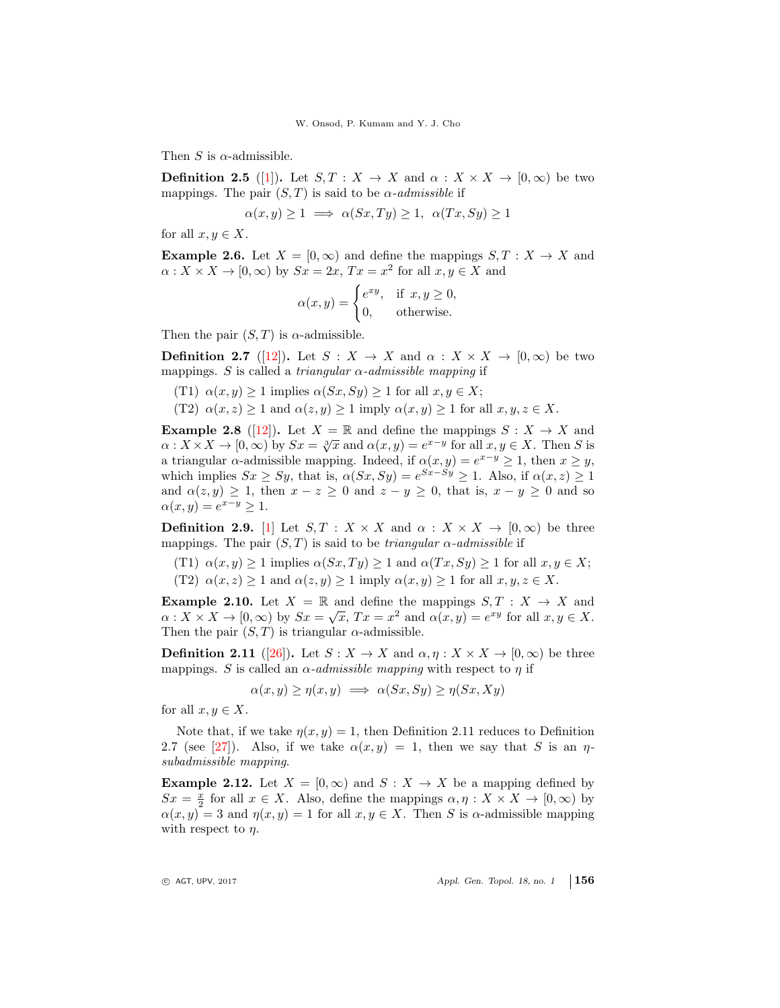Then S is  $\alpha$ -admissible.

**Definition 2.5** ([\[1\]](#page-17-2)). Let  $S, T : X \to X$  and  $\alpha : X \times X \to [0, \infty)$  be two mappings. The pair  $(S, T)$  is said to be  $\alpha$ -admissible if

$$
\alpha(x, y) \ge 1 \implies \alpha(Sx, Ty) \ge 1, \ \alpha(Tx, Sy) \ge 1
$$

for all  $x, y \in X$ .

**Example 2.6.** Let  $X = [0, \infty)$  and define the mappings  $S, T : X \to X$  and  $\alpha: X \times X \to [0, \infty)$  by  $S_x = 2x$ ,  $Tx = x^2$  for all  $x, y \in X$  and

$$
\alpha(x, y) = \begin{cases} e^{xy}, & \text{if } x, y \ge 0, \\ 0, & \text{otherwise.} \end{cases}
$$

Then the pair  $(S, T)$  is  $\alpha$ -admissible.

**Definition 2.7** ([\[12\]](#page-18-15)). Let  $S: X \to X$  and  $\alpha: X \times X \to [0, \infty)$  be two mappings. S is called a *triangular*  $\alpha$ -*admissible mapping* if

- (T1)  $\alpha(x, y) \ge 1$  implies  $\alpha(Sx, Sy) \ge 1$  for all  $x, y \in X$ ;
- (T2)  $\alpha(x, z) \geq 1$  and  $\alpha(z, y) \geq 1$  imply  $\alpha(x, y) \geq 1$  for all  $x, y, z \in X$ .

**Example 2.8** ([\[12\]](#page-18-15)). Let  $X = \mathbb{R}$  and define the mappings  $S : X \to X$  and **Example 2.6** ([12]). Let  $X = \mathbb{R}$  and define the mappings  $S : X \to X$  and  $\alpha : X \times X \to [0, \infty)$  by  $Sx = \sqrt[3]{x}$  and  $\alpha(x, y) = e^{x-y}$  for all  $x, y \in X$ . Then S is a triangular  $\alpha$ -admissible mapping. Indeed, if  $\alpha(x, y) = e^{x-y} \ge 1$ , then  $x \ge y$ , which implies  $Sx \ge Sy$ , that is,  $\alpha(Sx, Sy) = e^{Sx-Sy} \ge 1$ . Also, if  $\alpha(x, z) \ge 1$ and  $\alpha(z, y) \geq 1$ , then  $x - z \geq 0$  and  $z - y \geq 0$ , that is,  $x - y \geq 0$  and so  $\alpha(x, y) = e^{x-y} \geq 1.$ 

**Definition 2.9.** [\[1\]](#page-17-2) Let  $S, T : X \times X$  and  $\alpha : X \times X \rightarrow [0, \infty)$  be three mappings. The pair  $(S, T)$  is said to be *triangular*  $\alpha$ -*admissible* if

(T1)  $\alpha(x, y) \ge 1$  implies  $\alpha(Sx, Ty) \ge 1$  and  $\alpha(Tx, Sy) \ge 1$  for all  $x, y \in X$ ; (T2)  $\alpha(x, z) \geq 1$  and  $\alpha(z, y) \geq 1$  imply  $\alpha(x, y) \geq 1$  for all  $x, y, z \in X$ .

**Example 2.10.** Let  $X = \mathbb{R}$  and define the mappings  $S, T : X \to X$  and  $\alpha: X \times X \to [0, \infty)$  by  $Sx = \sqrt{x}, Tx = x^2$  and  $\alpha(x, y) = e^{xy}$  for all  $x, y \in X$ . Then the pair  $(S, T)$  is triangular  $\alpha$ -admissible.

**Definition 2.11** ([\[26\]](#page-18-16)). Let  $S: X \to X$  and  $\alpha, \eta: X \times X \to [0, \infty)$  be three mappings. S is called an  $\alpha$ -admissible mapping with respect to  $\eta$  if

$$
\alpha(x, y) \ge \eta(x, y) \implies \alpha(Sx, Sy) \ge \eta(Sx, Xy)
$$

for all  $x, y \in X$ .

Note that, if we take  $\eta(x, y) = 1$ , then Definition 2.11 reduces to Definition 2.7 (see [\[27\]](#page-18-6)). Also, if we take  $\alpha(x, y) = 1$ , then we say that S is an  $\eta$ subadmissible mapping.

**Example 2.12.** Let  $X = [0, \infty)$  and  $S : X \to X$  be a mapping defined by  $Sx = \frac{x}{2}$  for all  $x \in X$ . Also, define the mappings  $\alpha, \eta : X \times X \to [0, \infty)$  by  $\alpha(x, y) = 3$  and  $\eta(x, y) = 1$  for all  $x, y \in X$ . Then S is  $\alpha$ -admissible mapping with respect to  $\eta$ .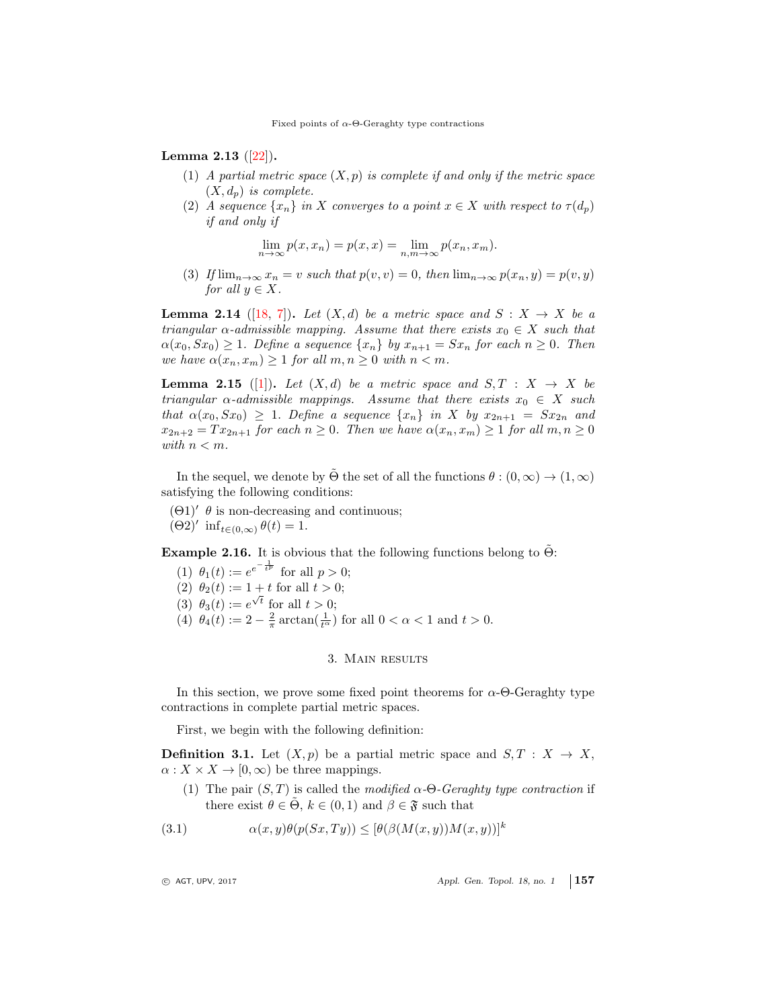#### Lemma  $2.13$  ([\[22\]](#page-18-13)).

- (1) A partial metric space  $(X, p)$  is complete if and only if the metric space  $(X, d_n)$  is complete.
- (2) A sequence  $\{x_n\}$  in X converges to a point  $x \in X$  with respect to  $\tau(d_p)$ if and only if

$$
\lim_{n \to \infty} p(x, x_n) = p(x, x) = \lim_{n, m \to \infty} p(x_n, x_m).
$$

(3) If  $\lim_{n\to\infty} x_n = v$  such that  $p(v, v) = 0$ , then  $\lim_{n\to\infty} p(x_n, y) = p(v, y)$ for all  $y \in X$ .

**Lemma 2.14** ([\[18,](#page-18-17) [7\]](#page-17-1)). Let  $(X,d)$  be a metric space and  $S: X \rightarrow X$  be a triangular  $\alpha$ -admissible mapping. Assume that there exists  $x_0 \in X$  such that  $\alpha(x_0, Sx_0) \geq 1$ . Define a sequence  $\{x_n\}$  by  $x_{n+1} = Sx_n$  for each  $n \geq 0$ . Then we have  $\alpha(x_n, x_m) \geq 1$  for all  $m, n \geq 0$  with  $n < m$ .

<span id="page-4-1"></span>**Lemma 2.15** ([\[1\]](#page-17-2)). Let  $(X,d)$  be a metric space and  $S,T : X \rightarrow X$  be triangular  $\alpha$ -admissible mappings. Assume that there exists  $x_0 \in X$  such that  $\alpha(x_0, Sx_0) \geq 1$ . Define a sequence  $\{x_n\}$  in X by  $x_{2n+1} = Sx_{2n}$  and  $x_{2n+2} = Tx_{2n+1}$  for each  $n \geq 0$ . Then we have  $\alpha(x_n, x_m) \geq 1$  for all  $m, n \geq 0$ with  $n < m$ .

In the sequel, we denote by  $\tilde{\Theta}$  the set of all the functions  $\theta : (0, \infty) \to (1, \infty)$ satisfying the following conditions:

- $(Θ1)'$  θ is non-decreasing and continuous;
- $(\Theta 2)'$  inf<sub>t∈(0,∞)</sub>  $\theta(t) = 1$ .

**Example 2.16.** It is obvious that the following functions belong to  $\tilde{\Theta}$ :

- (1)  $\theta_1(t) := e^{e^{-\frac{1}{t^p}}}$  for all  $p > 0$ ;
- (2)  $\theta_2(t) := 1 + t$  for all  $t > 0$ ;
- (3)  $\theta_3(t) := e^{\sqrt{t}}$  for all  $t > 0$ ;
- (4)  $\theta_4(t) := 2 \frac{2}{\pi} \arctan(\frac{1}{t^{\alpha}})$  for all  $0 < \alpha < 1$  and  $t > 0$ .

### <span id="page-4-0"></span>3. Main results

In this section, we prove some fixed point theorems for  $\alpha$ -Θ-Geraghty type contractions in complete partial metric spaces.

First, we begin with the following definition:

**Definition 3.1.** Let  $(X, p)$  be a partial metric space and  $S, T : X \rightarrow X$ ,  $\alpha: X \times X \to [0, \infty)$  be three mappings.

(1) The pair  $(S, T)$  is called the modified  $\alpha$ -Θ-Geraghty type contraction if there exist  $\theta \in \tilde{\Theta}$ ,  $k \in (0, 1)$  and  $\beta \in \mathfrak{F}$  such that

(3.1) 
$$
\alpha(x, y)\theta(p(Sx, Ty)) \leq [\theta(\beta(M(x, y))M(x, y))]^{k}
$$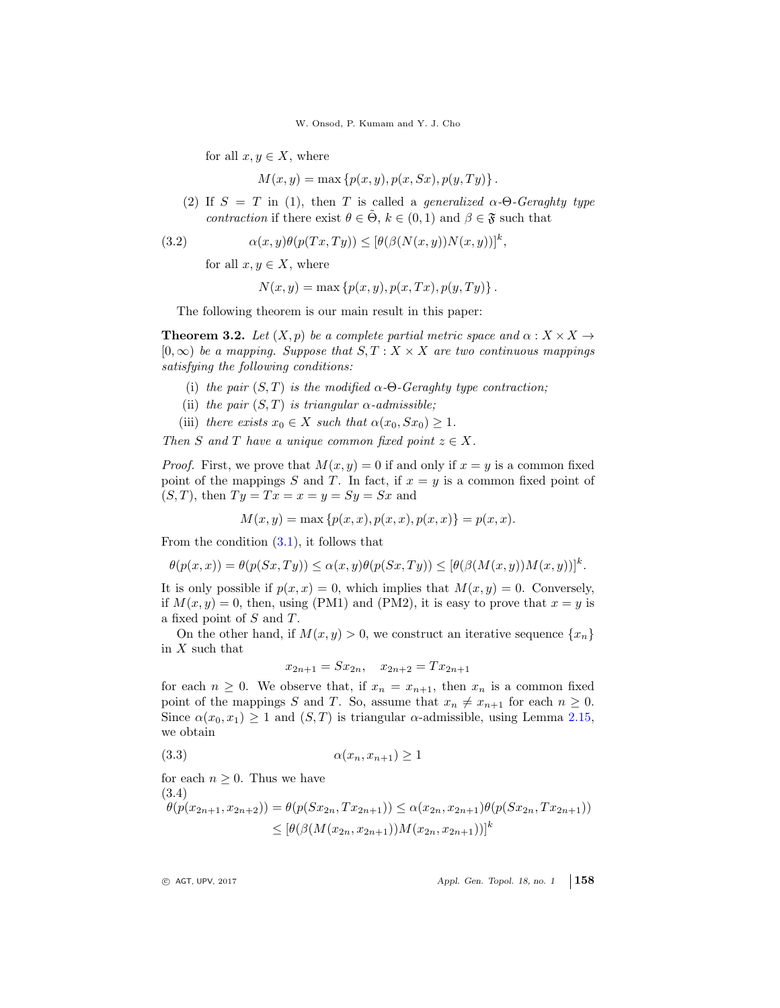W. Onsod, P. Kumam and Y. J. Cho

for all  $x, y \in X$ , where

$$
M(x, y) = \max \{p(x, y), p(x, Sx), p(y, Ty)\}.
$$

(2) If  $S = T$  in (1), then T is called a generalized  $\alpha$ - $\Theta$ -Geraghty type *contraction* if there exist  $\theta \in \tilde{\Theta}$ ,  $k \in (0, 1)$  and  $\beta \in \mathfrak{F}$  such that

(3.2) 
$$
\alpha(x,y)\theta(p(Tx,Ty)) \leq [\theta(\beta(N(x,y))N(x,y))]^{k},
$$

for all  $x, y \in X$ , where

$$
N(x, y) = \max \left\{ p(x, y), p(x, Tx), p(y, Ty) \right\}.
$$

The following theorem is our main result in this paper:

<span id="page-5-1"></span>**Theorem 3.2.** Let  $(X, p)$  be a complete partial metric space and  $\alpha : X \times X \rightarrow$  $[0, \infty)$  be a mapping. Suppose that  $S, T : X \times X$  are two continuous mappings satisfying the following conditions:

- (i) the pair  $(S, T)$  is the modified  $\alpha$ - $\Theta$ -Geraghty type contraction;
- (ii) the pair  $(S, T)$  is triangular  $\alpha$ -admissible;
- (iii) there exists  $x_0 \in X$  such that  $\alpha(x_0, Sx_0) \geq 1$ .

Then S and T have a unique common fixed point  $z \in X$ .

*Proof.* First, we prove that  $M(x, y) = 0$  if and only if  $x = y$  is a common fixed point of the mappings S and T. In fact, if  $x = y$  is a common fixed point of  $(S, T)$ , then  $Ty = Tx = x = y = Sy = Sx$  and

$$
M(x, y) = \max \{p(x, x), p(x, x), p(x, x)\} = p(x, x).
$$

From the condition  $(3.1)$ , it follows that

$$
\theta(p(x,x)) = \theta(p(Sx,Ty)) \leq \alpha(x,y)\theta(p(Sx,Ty)) \leq [\theta(\beta(M(x,y))M(x,y))]^{k}.
$$

It is only possible if  $p(x, x) = 0$ , which implies that  $M(x, y) = 0$ . Conversely, if  $M(x, y) = 0$ , then, using (PM1) and (PM2), it is easy to prove that  $x = y$  is a fixed point of S and T.

On the other hand, if  $M(x, y) > 0$ , we construct an iterative sequence  $\{x_n\}$ in  $X$  such that

<span id="page-5-0"></span>
$$
x_{2n+1} = Sx_{2n}, \quad x_{2n+2} = Tx_{2n+1}
$$

for each  $n \geq 0$ . We observe that, if  $x_n = x_{n+1}$ , then  $x_n$  is a common fixed point of the mappings S and T. So, assume that  $x_n \neq x_{n+1}$  for each  $n \geq 0$ . Since  $\alpha(x_0, x_1) \ge 1$  and  $(S, T)$  is triangular  $\alpha$ -admissible, using Lemma [2.15,](#page-4-1) we obtain

$$
(3.3) \qquad \qquad \alpha(x_n, x_{n+1}) \ge 1
$$

for each  $n \geq 0$ . Thus we have

(3.4)

$$
\theta(p(x_{2n+1}, x_{2n+2})) = \theta(p(Sx_{2n}, Tx_{2n+1})) \le \alpha(x_{2n}, x_{2n+1})\theta(p(Sx_{2n}, Tx_{2n+1}))
$$
  

$$
\le [\theta(\beta(M(x_{2n}, x_{2n+1}))M(x_{2n}, x_{2n+1}))]^k
$$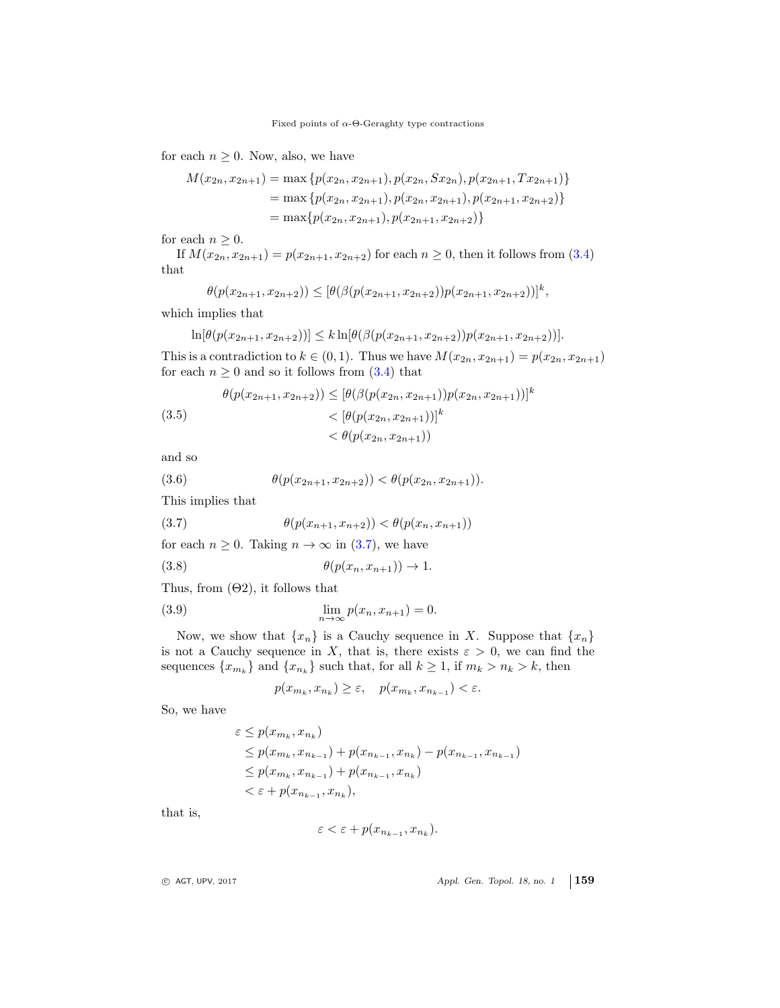for each  $n \geq 0$ . Now, also, we have

$$
M(x_{2n}, x_{2n+1}) = \max \{p(x_{2n}, x_{2n+1}), p(x_{2n}, Sx_{2n}), p(x_{2n+1}, Tx_{2n+1})\}
$$
  
= max  $\{p(x_{2n}, x_{2n+1}), p(x_{2n}, x_{2n+1}), p(x_{2n+1}, x_{2n+2})\}$   
= max $\{p(x_{2n}, x_{2n+1}), p(x_{2n+1}, x_{2n+2})\}$ 

for each  $n \geq 0$ .

If  $M(x_{2n}, x_{2n+1}) = p(x_{2n+1}, x_{2n+2})$  for each  $n \ge 0$ , then it follows from  $(3.4)$ that

$$
\theta(p(x_{2n+1}, x_{2n+2})) \leq [\theta(\beta(p(x_{2n+1}, x_{2n+2}))p(x_{2n+1}, x_{2n+2}))]^k,
$$

which implies that

$$
\ln[\theta(p(x_{2n+1}, x_{2n+2}))] \le k \ln[\theta(\beta(p(x_{2n+1}, x_{2n+2}))p(x_{2n+1}, x_{2n+2}))].
$$

This is a contradiction to  $k \in (0,1)$ . Thus we have  $M(x_{2n}, x_{2n+1}) = p(x_{2n}, x_{2n+1})$ for each  $n \geq 0$  and so it follows from  $(3.4)$  that

(3.5) 
$$
\theta(p(x_{2n+1}, x_{2n+2})) \leq [\theta(\beta(p(x_{2n}, x_{2n+1}))p(x_{2n}, x_{2n+1}))]^k \n< [\theta(p(x_{2n}, x_{2n+1}))]^k \n< \theta(p(x_{2n}, x_{2n+1}))
$$

and so

<span id="page-6-0"></span>(3.6) 
$$
\theta(p(x_{2n+1}, x_{2n+2})) < \theta(p(x_{2n}, x_{2n+1})).
$$

This implies that

(3.7) 
$$
\theta(p(x_{n+1}, x_{n+2})) < \theta(p(x_n, x_{n+1}))
$$

for each  $n \geq 0$ . Taking  $n \to \infty$  in [\(3.7\)](#page-6-0), we have

$$
(3.8) \qquad \theta(p(x_n, x_{n+1})) \to 1.
$$

Thus, from  $(\Theta 2)$ , it follows that

(3.9) 
$$
\lim_{n \to \infty} p(x_n, x_{n+1}) = 0.
$$

Now, we show that  $\{x_n\}$  is a Cauchy sequence in X. Suppose that  $\{x_n\}$ is not a Cauchy sequence in X, that is, there exists  $\varepsilon > 0$ , we can find the sequences  $\{x_{m_k}\}\$ and  $\{x_{n_k}\}\$  such that, for all  $k \geq 1$ , if  $m_k > n_k > k$ , then

<span id="page-6-2"></span><span id="page-6-1"></span>
$$
p(x_{m_k}, x_{n_k}) \ge \varepsilon, \quad p(x_{m_k}, x_{n_{k-1}}) < \varepsilon.
$$

So, we have

$$
\varepsilon \le p(x_{m_k}, x_{n_k})
$$
  
\n
$$
\le p(x_{m_k}, x_{n_{k-1}}) + p(x_{n_{k-1}}, x_{n_k}) - p(x_{n_{k-1}}, x_{n_{k-1}})
$$
  
\n
$$
\le p(x_{m_k}, x_{n_{k-1}}) + p(x_{n_{k-1}}, x_{n_k})
$$
  
\n
$$
< \varepsilon + p(x_{n_{k-1}}, x_{n_k}),
$$

that is,

$$
\varepsilon < \varepsilon + p(x_{n_{k-1}}, x_{n_k}).
$$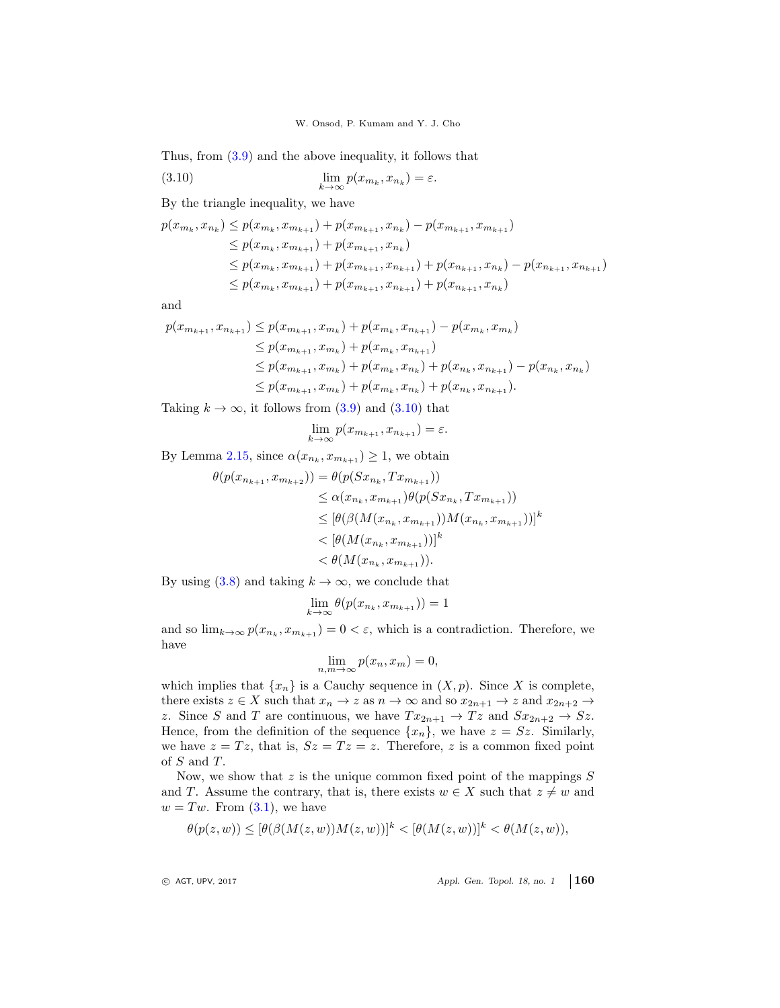<span id="page-7-0"></span>Thus, from [\(3.9\)](#page-6-1) and the above inequality, it follows that

(3.10) 
$$
\lim_{k \to \infty} p(x_{m_k}, x_{n_k}) = \varepsilon.
$$

By the triangle inequality, we have

$$
p(x_{m_k}, x_{n_k}) \le p(x_{m_k}, x_{m_{k+1}}) + p(x_{m_{k+1}}, x_{n_k}) - p(x_{m_{k+1}}, x_{m_{k+1}})
$$
  
\n
$$
\le p(x_{m_k}, x_{m_{k+1}}) + p(x_{m_{k+1}}, x_{n_k})
$$
  
\n
$$
\le p(x_{m_k}, x_{m_{k+1}}) + p(x_{m_{k+1}}, x_{n_{k+1}}) + p(x_{n_{k+1}}, x_{n_k}) - p(x_{n_{k+1}}, x_{n_{k+1}})
$$
  
\n
$$
\le p(x_{m_k}, x_{m_{k+1}}) + p(x_{m_{k+1}}, x_{n_{k+1}}) + p(x_{n_{k+1}}, x_{n_k})
$$

and

$$
p(x_{m_{k+1}}, x_{n_{k+1}}) \le p(x_{m_{k+1}}, x_{m_k}) + p(x_{m_k}, x_{n_{k+1}}) - p(x_{m_k}, x_{m_k})
$$
  
\n
$$
\le p(x_{m_{k+1}}, x_{m_k}) + p(x_{m_k}, x_{n_{k+1}})
$$
  
\n
$$
\le p(x_{m_{k+1}}, x_{m_k}) + p(x_{m_k}, x_{n_k}) + p(x_{n_k}, x_{n_{k+1}}) - p(x_{n_k}, x_{n_k})
$$
  
\n
$$
\le p(x_{m_{k+1}}, x_{m_k}) + p(x_{m_k}, x_{n_k}) + p(x_{n_k}, x_{n_{k+1}}).
$$

Taking  $k \to \infty$ , it follows from [\(3.9\)](#page-6-1) and [\(3.10\)](#page-7-0) that

$$
\lim_{k \to \infty} p(x_{m_{k+1}}, x_{n_{k+1}}) = \varepsilon.
$$

By Lemma [2.15,](#page-4-1) since  $\alpha(x_{n_k}, x_{m_{k+1}}) \geq 1$ , we obtain

$$
\theta(p(x_{n_{k+1}}, x_{m_{k+2}})) = \theta(p(Sx_{n_k}, Tx_{m_{k+1}}))
$$
  
\n
$$
\leq \alpha(x_{n_k}, x_{m_{k+1}}) \theta(p(Sx_{n_k}, Tx_{m_{k+1}}))
$$
  
\n
$$
\leq [\theta(\beta(M(x_{n_k}, x_{m_{k+1}}))M(x_{n_k}, x_{m_{k+1}}))]^k
$$
  
\n
$$
< [\theta(M(x_{n_k}, x_{m_{k+1}}))]^k
$$
  
\n
$$
< \theta(M(x_{n_k}, x_{m_{k+1}})).
$$

By using [\(3.8\)](#page-6-2) and taking  $k \to \infty$ , we conclude that

$$
\lim_{k \to \infty} \theta(p(x_{n_k}, x_{m_{k+1}})) = 1
$$

and so  $\lim_{k\to\infty} p(x_{n_k}, x_{m_{k+1}}) = 0 < \varepsilon$ , which is a contradiction. Therefore, we have

$$
\lim_{n,m \to \infty} p(x_n, x_m) = 0,
$$

which implies that  $\{x_n\}$  is a Cauchy sequence in  $(X, p)$ . Since X is complete, there exists  $z \in X$  such that  $x_n \to z$  as  $n \to \infty$  and so  $x_{2n+1} \to z$  and  $x_{2n+2} \to z$ z. Since S and T are continuous, we have  $Tx_{2n+1} \rightarrow Tx$  and  $Sx_{2n+2} \rightarrow Sz$ . Hence, from the definition of the sequence  $\{x_n\}$ , we have  $z = Sz$ . Similarly, we have  $z = Tz$ , that is,  $Sz = Tz = z$ . Therefore, z is a common fixed point of S and T.

Now, we show that  $z$  is the unique common fixed point of the mappings  $S$ and T. Assume the contrary, that is, there exists  $w \in X$  such that  $z \neq w$  and  $w = Tw$ . From  $(3.1)$ , we have

$$
\theta(p(z,w)) \leq [\theta(\beta(M(z,w))M(z,w))]^k < [\theta(M(z,w))]^k < \theta(M(z,w)),
$$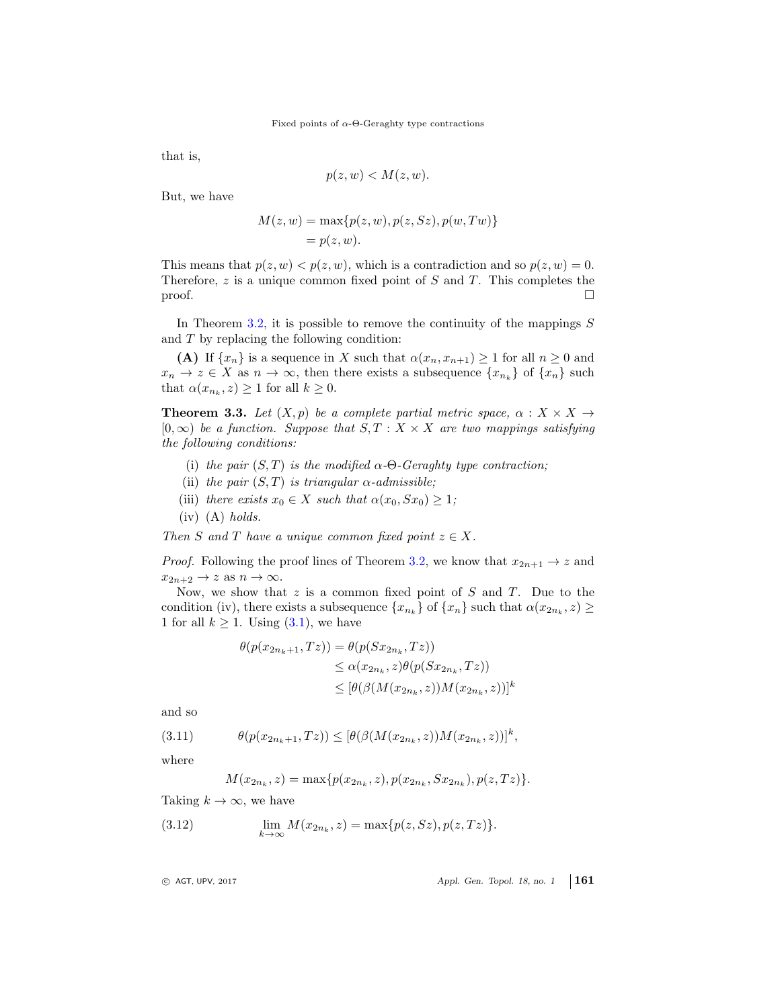that is,

$$
p(z, w) < M(z, w).
$$

But, we have

$$
M(z, w) = \max\{p(z, w), p(z, Sz), p(w, Tw)\}
$$
  
=  $p(z, w)$ .

This means that  $p(z, w) < p(z, w)$ , which is a contradiction and so  $p(z, w) = 0$ . Therefore,  $z$  is a unique common fixed point of  $S$  and  $T$ . This completes the  $\Box$ 

In Theorem [3.2,](#page-5-1) it is possible to remove the continuity of the mappings  $S$ and T by replacing the following condition:

(A) If  $\{x_n\}$  is a sequence in X such that  $\alpha(x_n, x_{n+1}) \geq 1$  for all  $n \geq 0$  and  $x_n \to z \in X$  as  $n \to \infty$ , then there exists a subsequence  $\{x_{n_k}\}\$  of  $\{x_n\}$  such that  $\alpha(x_{n_k}, z) \geq 1$  for all  $k \geq 0$ .

<span id="page-8-1"></span>**Theorem 3.3.** Let  $(X, p)$  be a complete partial metric space,  $\alpha : X \times X \rightarrow$  $[0, \infty)$  be a function. Suppose that  $S, T : X \times X$  are two mappings satisfying the following conditions:

- (i) the pair  $(S, T)$  is the modified  $\alpha$ - $\Theta$ -Geraghty type contraction;
- (ii) the pair  $(S, T)$  is triangular  $\alpha$ -admissible;
- (iii) there exists  $x_0 \in X$  such that  $\alpha(x_0, Sx_0) \geq 1$ ;
- $(iv)$   $(A)$  holds.

Then S and T have a unique common fixed point  $z \in X$ .

*Proof.* Following the proof lines of Theorem [3.2,](#page-5-1) we know that  $x_{2n+1} \rightarrow z$  and  $x_{2n+2} \to z$  as  $n \to \infty$ .

Now, we show that  $z$  is a common fixed point of  $S$  and  $T$ . Due to the condition (iv), there exists a subsequence  $\{x_{n_k}\}$  of  $\{x_n\}$  such that  $\alpha(x_{2n_k}, z) \ge$ 1 for all  $k \geq 1$ . Using  $(3.1)$ , we have

$$
\theta(p(x_{2n_k+1},Tz)) = \theta(p(Sx_{2n_k},Tz))
$$
  
\n
$$
\leq \alpha(x_{2n_k},z)\theta(p(Sx_{2n_k},Tz))
$$
  
\n
$$
\leq [\theta(\beta(M(x_{2n_k},z))M(x_{2n_k},z))]^k
$$

and so

(3.11) 
$$
\theta(p(x_{2n_k+1},Tz)) \leq [\theta(\beta(M(x_{2n_k},z))M(x_{2n_k},z))]^k,
$$

where

<span id="page-8-0"></span>
$$
M(x_{2n_k}, z) = \max\{p(x_{2n_k}, z), p(x_{2n_k}, Sx_{2n_k}), p(z, Tz)\}.
$$

Taking  $k \to \infty$ , we have

(3.12) 
$$
\lim_{k \to \infty} M(x_{2n_k}, z) = \max\{p(z, Sz), p(z, Tz)\}.
$$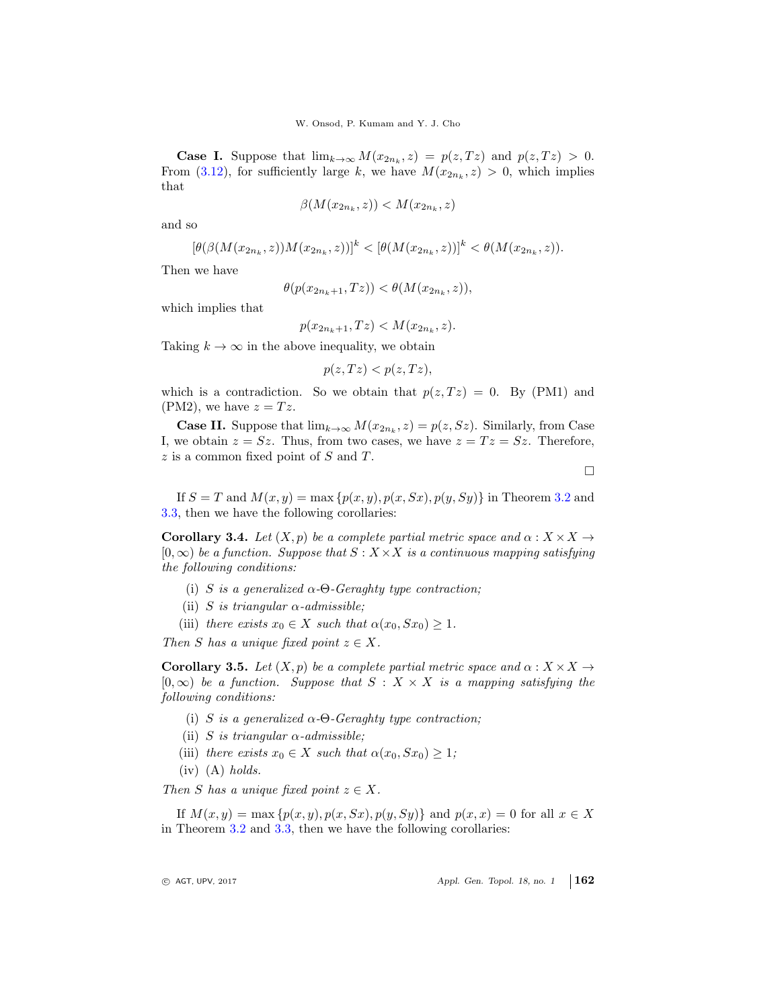**Case I.** Suppose that  $\lim_{k\to\infty} M(x_{2n_k}, z) = p(z, Tz)$  and  $p(z, Tz) > 0$ . From  $(3.12)$ , for sufficiently large k, we have  $M(x_{2n_k}, z) > 0$ , which implies that

$$
\beta(M(x_{2n_k}, z)) < M(x_{2n_k}, z)
$$

and so

$$
[\theta(\beta(M(x_{2n_k},z))M(x_{2n_k},z))]^k < [\theta(M(x_{2n_k},z))]^k < \theta(M(x_{2n_k},z)).
$$

Then we have

$$
\theta(p(x_{2n_k+1},Tz)) < \theta(M(x_{2n_k},z)),
$$

which implies that

$$
p(x_{2n_k+1}, Tz) < M(x_{2n_k}, z).
$$

Taking  $k \to \infty$  in the above inequality, we obtain

$$
p(z,Tz) < p(z,Tz)
$$

which is a contradiction. So we obtain that  $p(z, Tz) = 0$ . By (PM1) and (PM2), we have  $z = Tz$ .

**Case II.** Suppose that  $\lim_{k\to\infty} M(x_{2n_k}, z) = p(z, Sz)$ . Similarly, from Case I, we obtain  $z = Sz$ . Thus, from two cases, we have  $z = Tz = Sz$ . Therefore,  $z$  is a common fixed point of  $S$  and  $T$ .

 $\Box$ 

If  $S = T$  and  $M(x, y) = \max \{p(x, y), p(x, Sx), p(y, Sy)\}\$ in Theorem [3.2](#page-5-1) and [3.3,](#page-8-1) then we have the following corollaries:

**Corollary 3.4.** Let  $(X, p)$  be a complete partial metric space and  $\alpha : X \times X \rightarrow$  $[0, \infty)$  be a function. Suppose that  $S : X \times X$  is a continuous mapping satisfying the following conditions:

- (i) S is a generalized  $\alpha$ -Θ-Geraghty type contraction;
- (ii) S is triangular  $\alpha$ -admissible;
- (iii) there exists  $x_0 \in X$  such that  $\alpha(x_0, Sx_0) \geq 1$ .

Then S has a unique fixed point  $z \in X$ .

**Corollary 3.5.** Let  $(X, p)$  be a complete partial metric space and  $\alpha : X \times X \rightarrow$  $[0, \infty)$  be a function. Suppose that  $S : X \times X$  is a mapping satisfying the following conditions:

- (i) S is a generalized  $\alpha$ - $\Theta$ -Geraghty type contraction;
- (ii) S is triangular  $\alpha$ -admissible;
- (iii) there exists  $x_0 \in X$  such that  $\alpha(x_0, Sx_0) \geq 1$ ;
- $(iv)$   $(A)$  holds.

Then S has a unique fixed point  $z \in X$ .

If  $M(x, y) = \max \{p(x, y), p(x, Sx), p(y, Sy)\}\$ and  $p(x, x) = 0$  for all  $x \in X$ in Theorem [3.2](#page-5-1) and [3.3,](#page-8-1) then we have the following corollaries: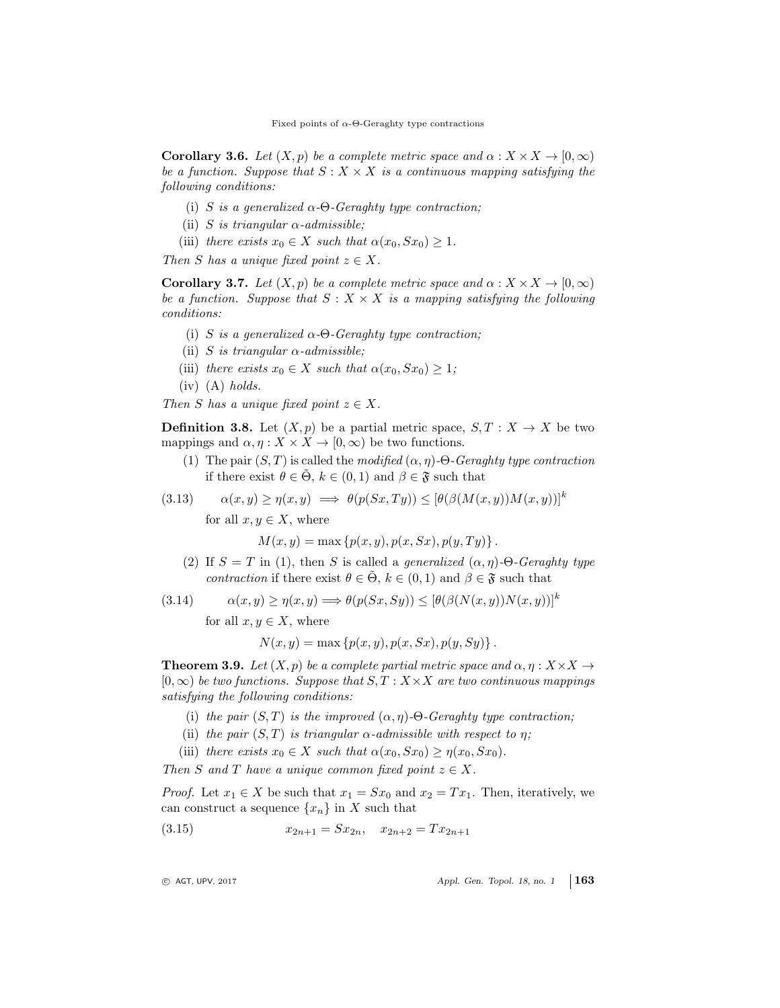**Corollary 3.6.** Let  $(X, p)$  be a complete metric space and  $\alpha : X \times X \rightarrow [0, \infty)$ be a function. Suppose that  $S: X \times X$  is a continuous mapping satisfying the following conditions:

- (i) S is a generalized  $\alpha$ - $\Theta$ -Geraghty type contraction;
- (ii) S is triangular  $\alpha$ -admissible;
- (iii) there exists  $x_0 \in X$  such that  $\alpha(x_0, Sx_0) \geq 1$ .

Then S has a unique fixed point  $z \in X$ .

**Corollary 3.7.** Let  $(X, p)$  be a complete metric space and  $\alpha : X \times X \to [0, \infty)$ be a function. Suppose that  $S: X \times X$  is a mapping satisfying the following conditions:

- (i) S is a generalized  $\alpha$ -Θ-Geraghty type contraction;
- (ii) S is triangular  $\alpha$ -admissible;
- (iii) there exists  $x_0 \in X$  such that  $\alpha(x_0, Sx_0) \geq 1$ ;
- $(iv)$   $(A)$  holds.

Then S has a unique fixed point  $z \in X$ .

**Definition 3.8.** Let  $(X, p)$  be a partial metric space,  $S, T : X \to X$  be two mappings and  $\alpha, \eta: X \times X \to [0, \infty)$  be two functions.

(1) The pair  $(S, T)$  is called the modified  $(\alpha, \eta)$ -Θ-Geraghty type contraction if there exist  $\theta \in \tilde{\Theta}$ ,  $k \in (0, 1)$  and  $\beta \in \mathfrak{F}$  such that

$$
(3.13) \qquad \alpha(x,y) \ge \eta(x,y) \implies \theta(p(Sx,Ty)) \le [\theta(\beta(M(x,y))M(x,y))]^k
$$

for all  $x, y \in X$ , where

 $M(x, y) = \max \{p(x, y), p(x, Sx), p(y, Ty)\}.$ 

(2) If  $S = T$  in (1), then S is called a generalized  $(\alpha, \eta)$ -Θ-Geraghty type contraction if there exist  $\theta \in \Theta$ ,  $k \in (0, 1)$  and  $\beta \in \mathfrak{F}$  such that

$$
(3.14) \qquad \alpha(x,y) \ge \eta(x,y) \Longrightarrow \theta(p(Sx, Sy)) \le [\theta(\beta(N(x,y))N(x,y))]^k
$$

for all  $x, y \in X$ , where

$$
N(x, y) = \max \{p(x, y), p(x, Sx), p(y, Sy)\}.
$$

<span id="page-10-0"></span>**Theorem 3.9.** Let  $(X, p)$  be a complete partial metric space and  $\alpha, \eta : X \times X \rightarrow$  $[0, \infty)$  be two functions. Suppose that  $S, T : X \times X$  are two continuous mappings satisfying the following conditions:

- (i) the pair  $(S, T)$  is the improved  $(\alpha, \eta)$ - $\Theta$ -Geraghty type contraction;
- (ii) the pair  $(S, T)$  is triangular  $\alpha$ -admissible with respect to  $\eta$ ;
- (iii) there exists  $x_0 \in X$  such that  $\alpha(x_0, Sx_0) \geq \eta(x_0, Sx_0)$ .

Then S and T have a unique common fixed point  $z \in X$ .

*Proof.* Let  $x_1 \in X$  be such that  $x_1 = Sx_0$  and  $x_2 = Tx_1$ . Then, iteratively, we can construct a sequence  $\{x_n\}$  in X such that

(3.15) 
$$
x_{2n+1} = Sx_{2n}, \quad x_{2n+2} = Tx_{2n+1}
$$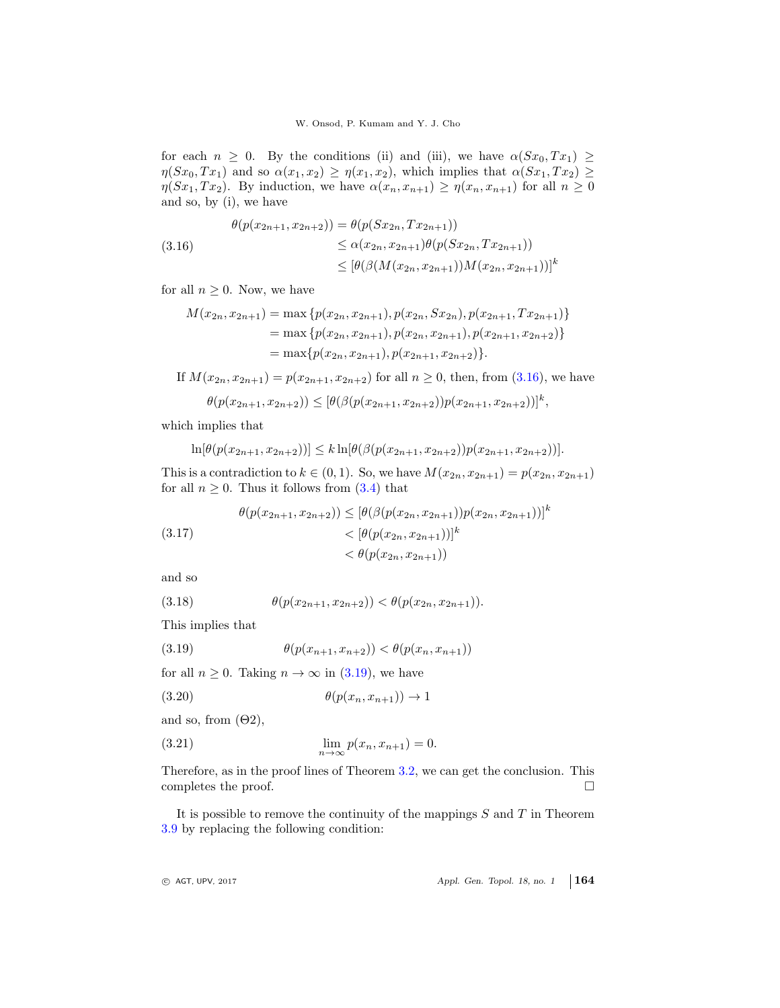for each  $n \geq 0$ . By the conditions (ii) and (iii), we have  $\alpha(Sx_0, Tx_1) \geq$  $\eta(Sx_0, Tx_1)$  and so  $\alpha(x_1, x_2) \geq \eta(x_1, x_2)$ , which implies that  $\alpha(Sx_1, Tx_2) \geq$  $\eta(Sx_1, Tx_2)$ . By induction, we have  $\alpha(x_n, x_{n+1}) \geq \eta(x_n, x_{n+1})$  for all  $n \geq 0$ and so, by (i), we have

<span id="page-11-0"></span>
$$
\theta(p(x_{2n+1}, x_{2n+2})) = \theta(p(Sx_{2n}, Tx_{2n+1}))
$$
  
\n
$$
\leq \alpha(x_{2n}, x_{2n+1})\theta(p(Sx_{2n}, Tx_{2n+1}))
$$
  
\n
$$
\leq [\theta(\beta(M(x_{2n}, x_{2n+1}))M(x_{2n}, x_{2n+1}))]^k
$$

for all  $n\geq 0.$  Now, we have

$$
M(x_{2n}, x_{2n+1}) = \max \{p(x_{2n}, x_{2n+1}), p(x_{2n}, Sx_{2n}), p(x_{2n+1}, Tx_{2n+1})\}
$$
  
= max \{p(x\_{2n}, x\_{2n+1}), p(x\_{2n}, x\_{2n+1}), p(x\_{2n+1}, x\_{2n+2})\}  
= max\{p(x\_{2n}, x\_{2n+1}), p(x\_{2n+1}, x\_{2n+2})\}.

If  $M(x_{2n}, x_{2n+1}) = p(x_{2n+1}, x_{2n+2})$  for all  $n \ge 0$ , then, from  $(3.16)$ , we have

$$
\theta(p(x_{2n+1}, x_{2n+2})) \leq [\theta(\beta(p(x_{2n+1}, x_{2n+2}))p(x_{2n+1}, x_{2n+2}))]^k,
$$

which implies that

$$
\ln[\theta(p(x_{2n+1}, x_{2n+2}))] \le k \ln[\theta(\beta(p(x_{2n+1}, x_{2n+2}))p(x_{2n+1}, x_{2n+2}))].
$$

This is a contradiction to  $k \in (0,1)$ . So, we have  $M(x_{2n}, x_{2n+1}) = p(x_{2n}, x_{2n+1})$ for all  $n \geq 0$ . Thus it follows from  $(3.4)$  that

$$
\theta(p(x_{2n+1}, x_{2n+2})) \leq [\theta(\beta(p(x_{2n}, x_{2n+1}))p(x_{2n}, x_{2n+1}))]^k
$$
  

$$
\leq [\theta(p(x_{2n}, x_{2n+1}))]^k
$$
  

$$
\leq \theta(p(x_{2n}, x_{2n+1}))
$$

and so

(3.18) 
$$
\theta(p(x_{2n+1}, x_{2n+2})) < \theta(p(x_{2n}, x_{2n+1})).
$$

<span id="page-11-1"></span>This implies that

(3.19) 
$$
\theta(p(x_{n+1}, x_{n+2})) < \theta(p(x_n, x_{n+1}))
$$

for all  $n \geq 0$ . Taking  $n \to \infty$  in [\(3.19\)](#page-11-1), we have

$$
(3.20) \qquad \theta(p(x_n, x_{n+1})) \to 1
$$

and so, from  $(\Theta 2)$ ,

(3.21) 
$$
\lim_{n \to \infty} p(x_n, x_{n+1}) = 0.
$$

Therefore, as in the proof lines of Theorem [3.2,](#page-5-1) we can get the conclusion. This completes the proof.  $\Box$ 

It is possible to remove the continuity of the mappings  $S$  and  $T$  in Theorem [3.9](#page-10-0) by replacing the following condition: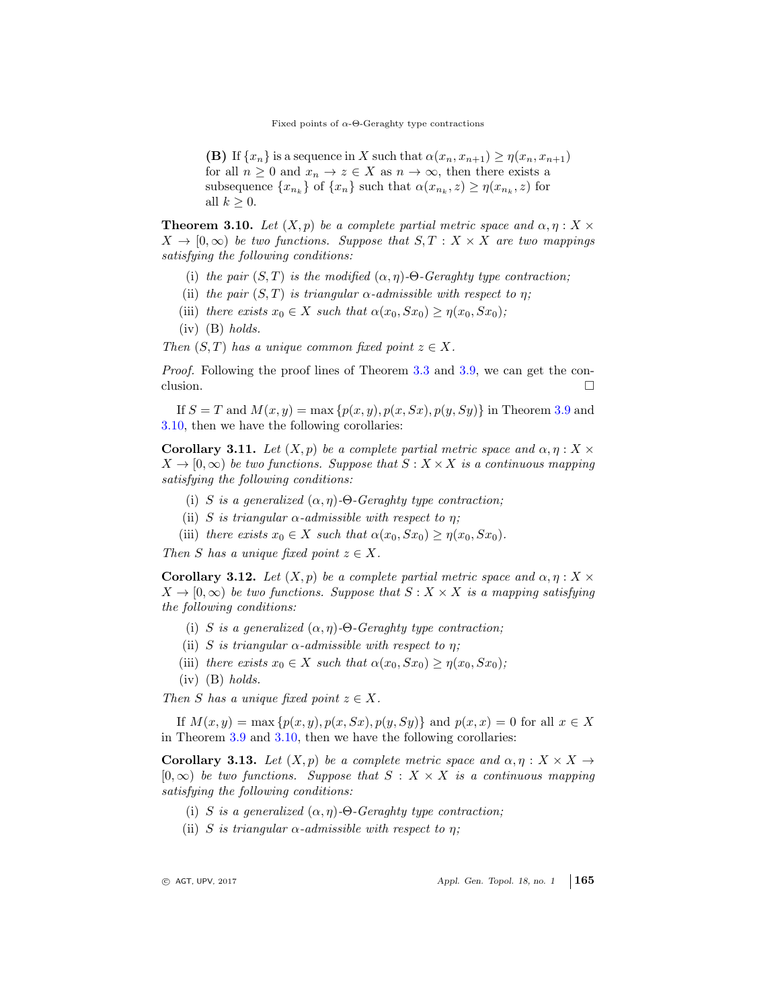Fixed points of  $\alpha$ -Θ-Geraghty type contractions

(B) If  $\{x_n\}$  is a sequence in X such that  $\alpha(x_n, x_{n+1}) \geq \eta(x_n, x_{n+1})$ for all  $n \geq 0$  and  $x_n \to z \in X$  as  $n \to \infty$ , then there exists a subsequence  $\{x_{n_k}\}\$  of  $\{x_n\}$  such that  $\alpha(x_{n_k}, z) \geq \eta(x_{n_k}, z)$  for all  $k \geq 0$ .

<span id="page-12-0"></span>**Theorem 3.10.** Let  $(X, p)$  be a complete partial metric space and  $\alpha, \eta : X \times Y$  $X \to [0,\infty)$  be two functions. Suppose that  $S,T : X \times X$  are two mappings satisfying the following conditions:

- (i) the pair  $(S, T)$  is the modified  $(\alpha, \eta)$ -Θ-Geraghty type contraction;
- (ii) the pair  $(S, T)$  is triangular  $\alpha$ -admissible with respect to  $\eta$ ;
- (iii) there exists  $x_0 \in X$  such that  $\alpha(x_0, Sx_0) \geq \eta(x_0, Sx_0)$ ;
- $(iv)$  (B) holds.

Then  $(S, T)$  has a unique common fixed point  $z \in X$ .

Proof. Following the proof lines of Theorem [3.3](#page-8-1) and [3.9,](#page-10-0) we can get the conclusion.  $\Box$ 

If  $S = T$  and  $M(x, y) = \max \{p(x, y), p(x, Sx), p(y, Sy)\}\$ in Theorem [3.9](#page-10-0) and [3.10,](#page-12-0) then we have the following corollaries:

Corollary 3.11. Let  $(X, p)$  be a complete partial metric space and  $\alpha, \eta : X \times$  $X \to [0, \infty)$  be two functions. Suppose that  $S : X \times X$  is a continuous mapping satisfying the following conditions:

- (i) S is a generalized  $(\alpha, \eta)$ -Θ-Geraghty type contraction;
- (ii) S is triangular  $\alpha$ -admissible with respect to  $\eta$ ;
- (iii) there exists  $x_0 \in X$  such that  $\alpha(x_0, Sx_0) \geq \eta(x_0, Sx_0)$ .

Then S has a unique fixed point  $z \in X$ .

Corollary 3.12. Let  $(X, p)$  be a complete partial metric space and  $\alpha, \eta : X \times$  $X \to [0,\infty)$  be two functions. Suppose that  $S : X \times X$  is a mapping satisfying the following conditions:

- (i) S is a generalized  $(\alpha, \eta)$ - $\Theta$ -Geraghty type contraction;
- (ii) S is triangular  $\alpha$ -admissible with respect to  $\eta$ ;
- (iii) there exists  $x_0 \in X$  such that  $\alpha(x_0, Sx_0) \geq \eta(x_0, Sx_0)$ ;
- $(iv)$  (B) holds.

Then S has a unique fixed point  $z \in X$ .

If  $M(x, y) = \max \{p(x, y), p(x, Sx), p(y, Sy)\}\$ and  $p(x, x) = 0$  for all  $x \in X$ in Theorem [3.9](#page-10-0) and [3.10,](#page-12-0) then we have the following corollaries:

**Corollary 3.13.** Let  $(X, p)$  be a complete metric space and  $\alpha, \eta : X \times X \rightarrow$  $[0, \infty)$  be two functions. Suppose that  $S : X \times X$  is a continuous mapping satisfying the following conditions:

- (i) S is a generalized  $(\alpha, \eta)$ - $\Theta$ -Geraghty type contraction;
- (ii) S is triangular  $\alpha$ -admissible with respect to  $\eta$ ;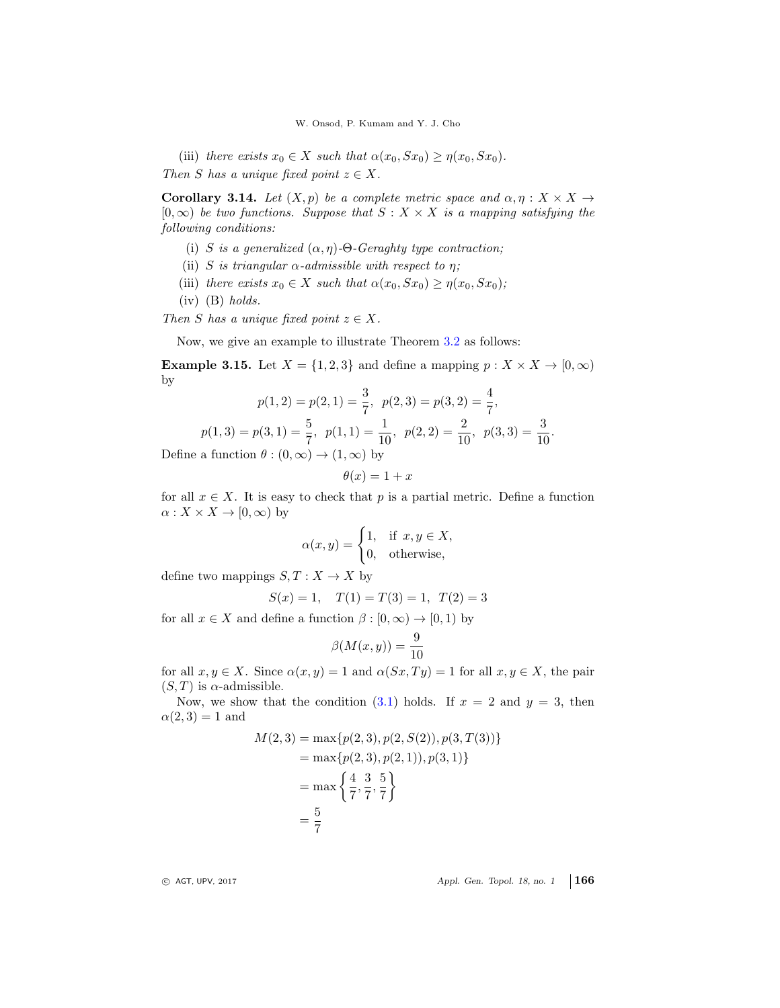(iii) there exists  $x_0 \in X$  such that  $\alpha(x_0, Sx_0) \geq \eta(x_0, Sx_0)$ .

Then S has a unique fixed point  $z \in X$ .

Corollary 3.14. Let  $(X, p)$  be a complete metric space and  $\alpha, \eta : X \times X \rightarrow$  $[0, \infty)$  be two functions. Suppose that  $S : X \times X$  is a mapping satisfying the following conditions:

- (i) S is a generalized  $(\alpha, \eta)$ -Θ-Geraghty type contraction;
- (ii) S is triangular  $\alpha$ -admissible with respect to  $\eta$ ;
- (iii) there exists  $x_0 \in X$  such that  $\alpha(x_0, Sx_0) \geq \eta(x_0, Sx_0)$ ;
- (iv) (B) holds.

Then S has a unique fixed point  $z \in X$ .

Now, we give an example to illustrate Theorem [3.2](#page-5-1) as follows:

**Example 3.15.** Let  $X = \{1, 2, 3\}$  and define a mapping  $p : X \times X \rightarrow [0, \infty)$ by

$$
p(1,2) = p(2,1) = \frac{3}{7}, \quad p(2,3) = p(3,2) = \frac{4}{7},
$$
  
\n
$$
p(1,3) = p(3,1) = \frac{5}{7}, \quad p(1,1) = \frac{1}{10}, \quad p(2,2) = \frac{2}{10}, \quad p(3,3) = \frac{3}{10}.
$$
  
\nAs a function  $\theta : (0, \infty) \to (1, \infty)$  by

Define a function  $\theta : (0, \infty) \to (1, \infty)$  by

$$
\theta(x) = 1 + x
$$

for all  $x \in X$ . It is easy to check that p is a partial metric. Define a function  $\alpha: X \times X \to [0, \infty)$  by

$$
\alpha(x, y) = \begin{cases} 1, & \text{if } x, y \in X, \\ 0, & \text{otherwise,} \end{cases}
$$

define two mappings  $S, T : X \to X$  by

$$
S(x) = 1, \quad T(1) = T(3) = 1, \ T(2) = 3
$$

for all  $x \in X$  and define a function  $\beta : [0, \infty) \to [0, 1)$  by

$$
\beta(M(x,y)) = \frac{9}{10}
$$

for all  $x, y \in X$ . Since  $\alpha(x, y) = 1$  and  $\alpha(Sx, Ty) = 1$  for all  $x, y \in X$ , the pair  $(S, T)$  is  $\alpha$ -admissible.

Now, we show that the condition  $(3.1)$  holds. If  $x = 2$  and  $y = 3$ , then  $\alpha(2,3) = 1$  and

$$
M(2,3) = \max\{p(2,3), p(2, S(2)), p(3, T(3))\}
$$
  
= max{ $p(2,3), p(2,1), p(3,1)$ }  
= max{ $\frac{4}{7}, \frac{3}{7}, \frac{5}{7}$ }  
=  $\frac{5}{7}$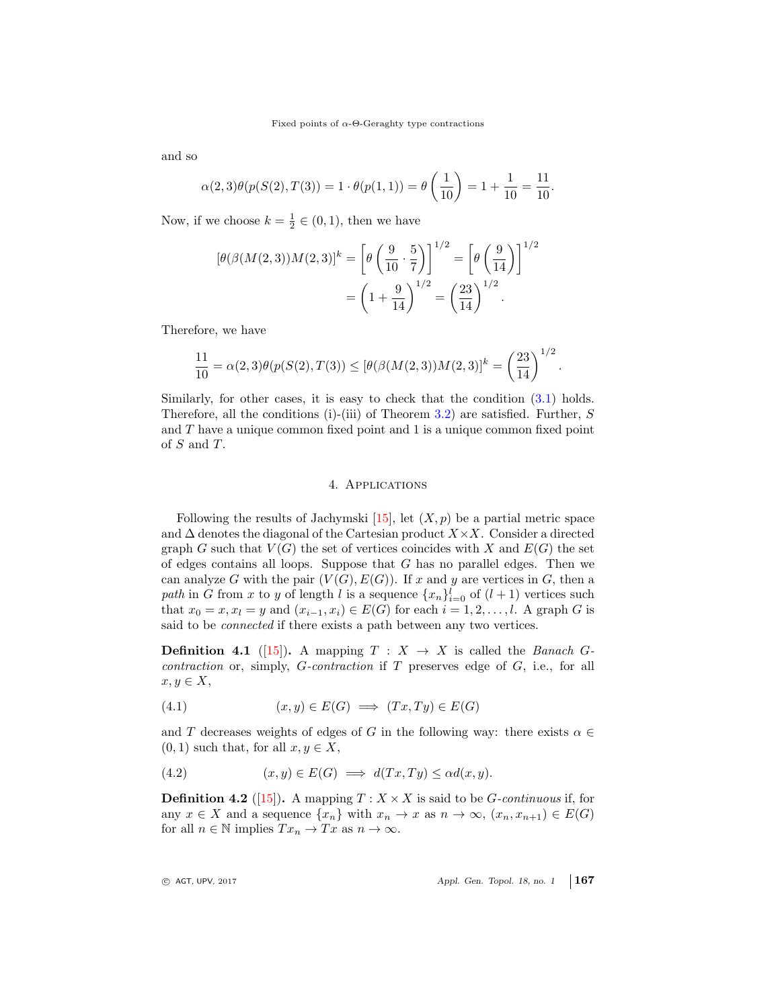and so

$$
\alpha(2,3)\theta(p(S(2),T(3)) = 1 \cdot \theta(p(1,1)) = \theta\left(\frac{1}{10}\right) = 1 + \frac{1}{10} = \frac{11}{10}.
$$

Now, if we choose  $k = \frac{1}{2} \in (0, 1)$ , then we have

$$
[\theta(\beta(M(2,3))M(2,3)]^{k} = \left[\theta\left(\frac{9}{10}\cdot\frac{5}{7}\right)\right]^{1/2} = \left[\theta\left(\frac{9}{14}\right)\right]^{1/2} = \left(1 + \frac{9}{14}\right)^{1/2} = \left(\frac{23}{14}\right)^{1/2}.
$$

Therefore, we have

$$
\frac{11}{10} = \alpha(2,3)\theta(p(S(2),T(3)) \leq [\theta(\beta(M(2,3))M(2,3)]^{k} = \left(\frac{23}{14}\right)^{1/2}.
$$

Similarly, for other cases, it is easy to check that the condition  $(3.1)$  holds. Therefore, all the conditions (i)-(iii) of Theorem  $3.2$ ) are satisfied. Further, S and T have a unique common fixed point and 1 is a unique common fixed point of S and T.

#### 4. Applications

Following the results of Jachymski [\[15\]](#page-18-18), let  $(X, p)$  be a partial metric space and  $\Delta$  denotes the diagonal of the Cartesian product  $X \times X$ . Consider a directed graph G such that  $V(G)$  the set of vertices coincides with X and  $E(G)$  the set of edges contains all loops. Suppose that  $G$  has no parallel edges. Then we can analyze G with the pair  $(V(G), E(G))$ . If x and y are vertices in G, then a path in G from x to y of length l is a sequence  $\{x_n\}_{i=0}^l$  of  $(l+1)$  vertices such that  $x_0 = x, x_l = y$  and  $(x_{i-1}, x_i) \in E(G)$  for each  $i = 1, 2, \ldots, l$ . A graph G is said to be connected if there exists a path between any two vertices.

**Definition 4.1** ([\[15\]](#page-18-18)). A mapping  $T : X \rightarrow X$  is called the *Banach* Gcontraction or, simply,  $G$ -contraction if  $T$  preserves edge of  $G$ , i.e., for all  $x, y \in X$ ,

(4.1) 
$$
(x, y) \in E(G) \implies (Tx, Ty) \in E(G)
$$

and T decreases weights of edges of G in the following way: there exists  $\alpha \in$  $(0, 1)$  such that, for all  $x, y \in X$ ,

(4.2) 
$$
(x, y) \in E(G) \implies d(Tx, Ty) \leq \alpha d(x, y).
$$

**Definition 4.2** ([\[15\]](#page-18-18)). A mapping  $T : X \times X$  is said to be *G*-continuous if, for any  $x \in X$  and a sequence  $\{x_n\}$  with  $x_n \to x$  as  $n \to \infty$ ,  $(x_n, x_{n+1}) \in E(G)$ for all  $n \in \mathbb{N}$  implies  $Tx_n \to Tx$  as  $n \to \infty$ .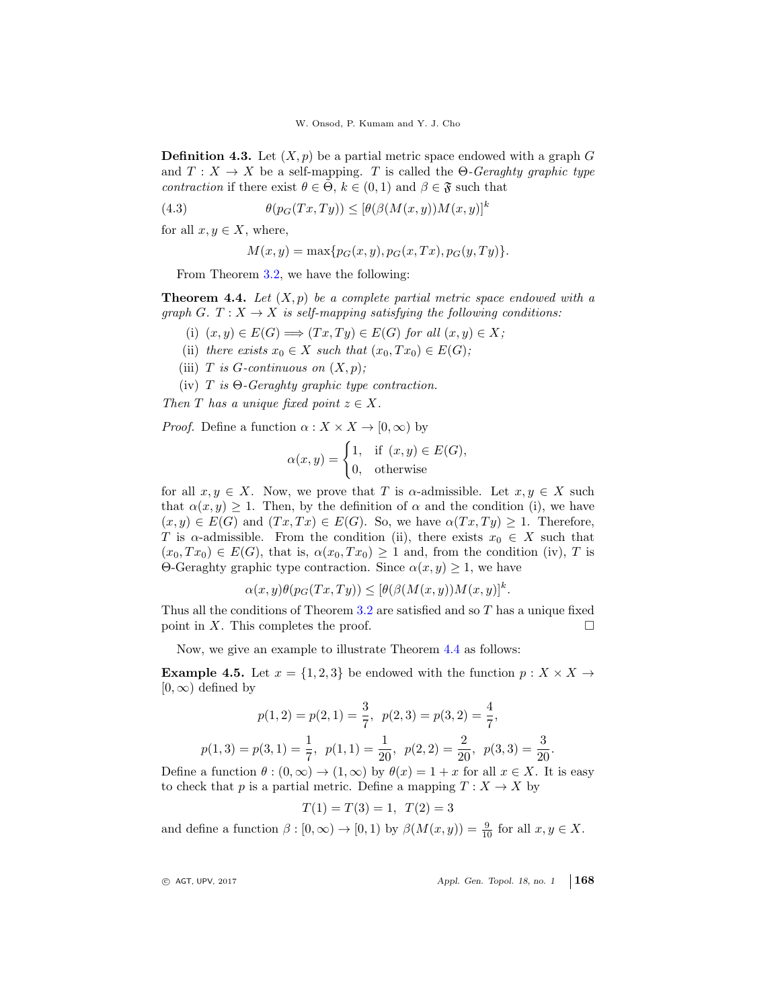**Definition 4.3.** Let  $(X, p)$  be a partial metric space endowed with a graph G and  $T : X \to X$  be a self-mapping. T is called the  $\Theta$ -Geraghty graphic type *contraction* if there exist  $\theta \in \Theta$ ,  $k \in (0, 1)$  and  $\beta \in \mathfrak{F}$  such that

(4.3) 
$$
\theta(p_G(Tx,Ty)) \leq [\theta(\beta(M(x,y))M(x,y)]^k
$$

for all  $x, y \in X$ , where,

<span id="page-15-1"></span>
$$
M(x, y) = \max\{p_G(x, y), p_G(x, Tx), p_G(y, Ty)\}.
$$

From Theorem [3.2,](#page-5-1) we have the following:

<span id="page-15-0"></span>**Theorem 4.4.** Let  $(X, p)$  be a complete partial metric space endowed with a graph G. T :  $X \to X$  is self-mapping satisfying the following conditions:

- (i)  $(x, y) \in E(G) \Longrightarrow (Tx, Ty) \in E(G)$  for all  $(x, y) \in X$ ;
- (ii) there exists  $x_0 \in X$  such that  $(x_0, Tx_0) \in E(G)$ ;
- (iii) T is G-continuous on  $(X, p)$ ;
- (iv)  $T$  is  $\Theta$ -Geraghty graphic type contraction.

Then T has a unique fixed point  $z \in X$ .

*Proof.* Define a function  $\alpha: X \times X \to [0, \infty)$  by

$$
\alpha(x, y) = \begin{cases} 1, & \text{if } (x, y) \in E(G), \\ 0, & \text{otherwise} \end{cases}
$$

for all  $x, y \in X$ . Now, we prove that T is  $\alpha$ -admissible. Let  $x, y \in X$  such that  $\alpha(x, y) \geq 1$ . Then, by the definition of  $\alpha$  and the condition (i), we have  $(x, y) \in E(G)$  and  $(Tx, Tx) \in E(G)$ . So, we have  $\alpha(Tx, Ty) \geq 1$ . Therefore, T is  $\alpha$ -admissible. From the condition (ii), there exists  $x_0 \in X$  such that  $(x_0, Tx_0) \in E(G)$ , that is,  $\alpha(x_0, Tx_0) \geq 1$  and, from the condition (iv), T is Θ-Geraghty graphic type contraction. Since  $\alpha(x, y) \geq 1$ , we have

$$
\alpha(x,y)\theta(p_G(Tx,Ty)) \leq [\theta(\beta(M(x,y))M(x,y)]^k.
$$

Thus all the conditions of Theorem [3.2](#page-5-1) are satisfied and so T has a unique fixed point in X. This completes the proof.  $\Box$ 

Now, we give an example to illustrate Theorem [4.4](#page-15-0) as follows:

<span id="page-15-2"></span>**Example 4.5.** Let  $x = \{1, 2, 3\}$  be endowed with the function  $p : X \times X \rightarrow$  $[0, \infty)$  defined by

$$
p(1,2) = p(2,1) = \frac{3}{7}, \quad p(2,3) = p(3,2) = \frac{4}{7},
$$
  

$$
p(1,3) = p(3,1) = \frac{1}{7}, \quad p(1,1) = \frac{1}{20}, \quad p(2,2) = \frac{2}{20}, \quad p(3,3) = \frac{3}{20}.
$$

Define a function  $\theta : (0, \infty) \to (1, \infty)$  by  $\theta(x) = 1 + x$  for all  $x \in X$ . It is easy to check that p is a partial metric. Define a mapping  $T : X \to X$  by

$$
T(1) = T(3) = 1, \ T(2) = 3
$$

and define a function  $\beta : [0, \infty) \to [0, 1)$  by  $\beta(M(x, y)) = \frac{9}{10}$  for all  $x, y \in X$ .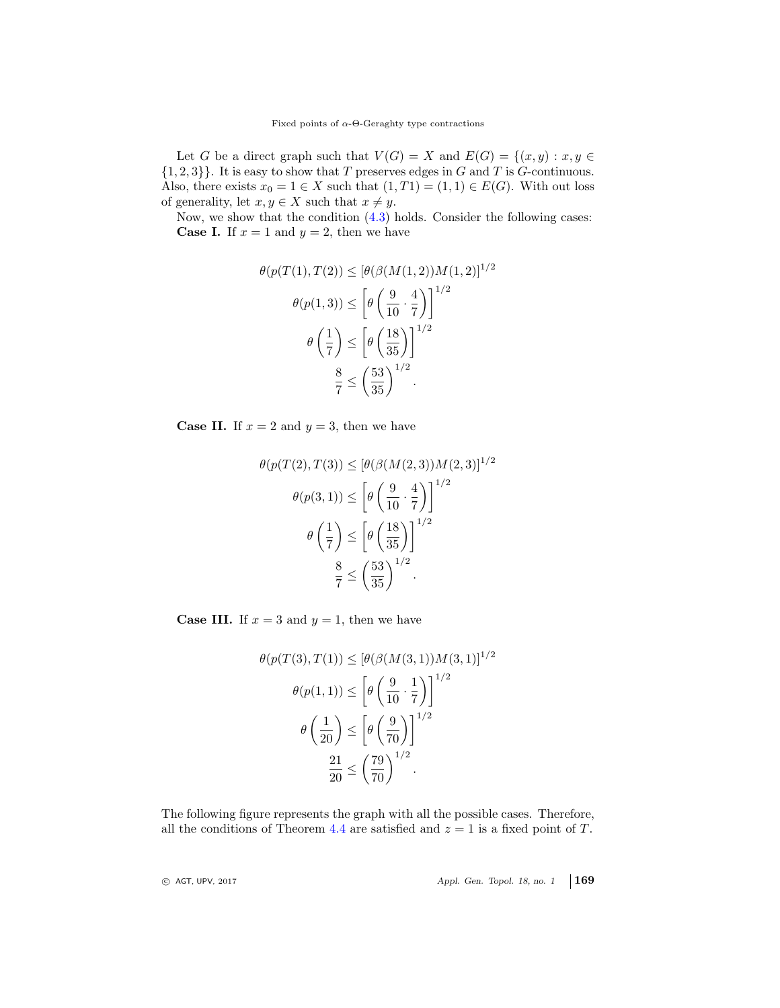Let G be a direct graph such that  $V(G) = X$  and  $E(G) = \{(x, y) : x, y \in$  ${1, 2, 3}$ . It is easy to show that T preserves edges in G and T is G-continuous. Also, there exists  $x_0 = 1 \in X$  such that  $(1, T1) = (1, 1) \in E(G)$ . With out loss of generality, let  $x, y \in X$  such that  $x \neq y$ .

Now, we show that the condition [\(4.3\)](#page-15-1) holds. Consider the following cases: **Case I.** If  $x = 1$  and  $y = 2$ , then we have

$$
\theta(p(T(1), T(2)) \leq [\theta(\beta(M(1, 2))M(1, 2)]^{1/2}
$$

$$
\theta(p(1, 3)) \leq \left[\theta\left(\frac{9}{10} \cdot \frac{4}{7}\right)\right]^{1/2}
$$

$$
\theta\left(\frac{1}{7}\right) \leq \left[\theta\left(\frac{18}{35}\right)\right]^{1/2}
$$

$$
\frac{8}{7} \leq \left(\frac{53}{35}\right)^{1/2}.
$$

**Case II.** If  $x = 2$  and  $y = 3$ , then we have

$$
\theta(p(T(2), T(3)) \leq [\theta(\beta(M(2,3))M(2,3)]^{1/2}
$$

$$
\theta(p(3,1)) \leq \left[\theta\left(\frac{9}{10} \cdot \frac{4}{7}\right)\right]^{1/2}
$$

$$
\theta\left(\frac{1}{7}\right) \leq \left[\theta\left(\frac{18}{35}\right)\right]^{1/2}
$$

$$
\frac{8}{7} \leq \left(\frac{53}{35}\right)^{1/2}.
$$

**Case III.** If  $x = 3$  and  $y = 1$ , then we have

$$
\theta(p(T(3), T(1)) \leq [\theta(\beta(M(3,1))M(3,1)]^{1/2}
$$

$$
\theta(p(1,1)) \leq \left[\theta\left(\frac{9}{10} \cdot \frac{1}{7}\right)\right]^{1/2}
$$

$$
\theta\left(\frac{1}{20}\right) \leq \left[\theta\left(\frac{9}{70}\right)\right]^{1/2}
$$

$$
\frac{21}{20} \leq \left(\frac{79}{70}\right)^{1/2}.
$$

The following figure represents the graph with all the possible cases. Therefore, all the conditions of Theorem [4.4](#page-15-0) are satisfied and  $z = 1$  is a fixed point of T.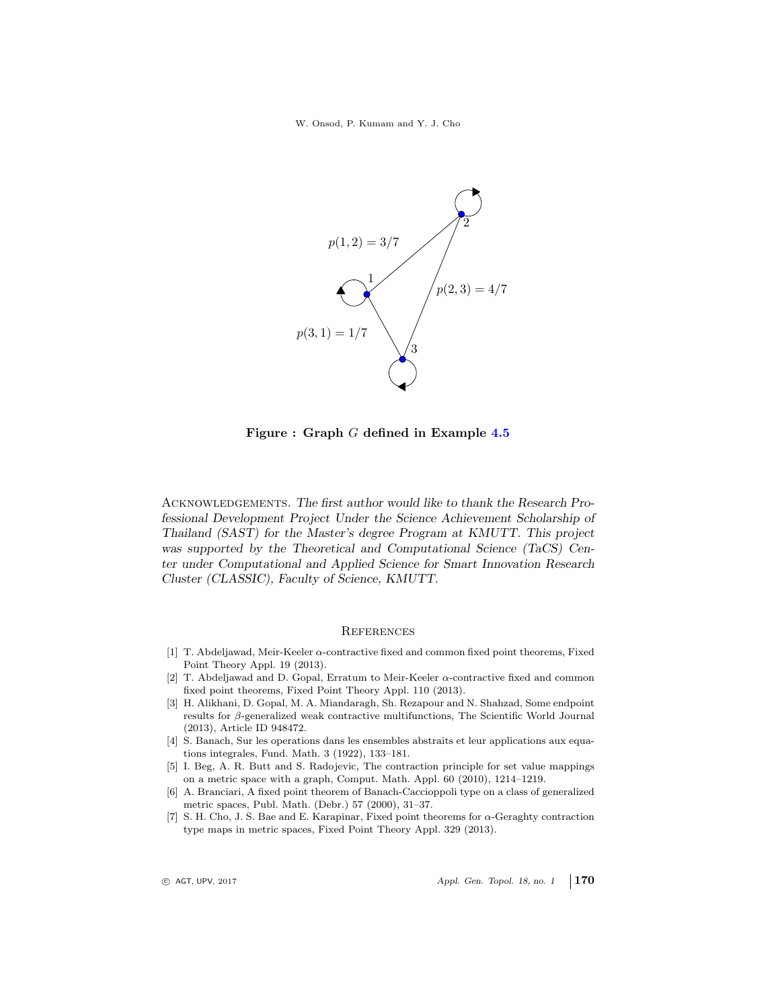W. Onsod, P. Kumam and Y. J. Cho



Figure : Graph G defined in Example [4.5](#page-15-2)

Acknowledgements. The first author would like to thank the Research Professional Development Project Under the Science Achievement Scholarship of Thailand (SAST) for the Master's degree Program at KMUTT. This project was supported by the Theoretical and Computational Science (TaCS) Center under Computational and Applied Science for Smart Innovation Research Cluster (CLASSIC), Faculty of Science, KMUTT.

#### **REFERENCES**

- <span id="page-17-2"></span>[1] T. Abdeljawad, Meir-Keeler α-contractive fixed and common fixed point theorems, Fixed Point Theory Appl. 19 (2013).
- <span id="page-17-3"></span>[2] T. Abdeljawad and D. Gopal, Erratum to Meir-Keeler α-contractive fixed and common fixed point theorems, Fixed Point Theory Appl. 110 (2013).
- <span id="page-17-4"></span>[3] H. Alikhani, D. Gopal, M. A. Miandaragh, Sh. Rezapour and N. Shahzad, Some endpoint results for β-generalized weak contractive multifunctions, The Scientific World Journal (2013), Article ID 948472.
- <span id="page-17-0"></span>[4] S. Banach, Sur les operations dans les ensembles abstraits et leur applications aux equations integrales, Fund. Math. 3 (1922), 133–181.
- [5] I. Beg, A. R. Butt and S. Radojevic, The contraction principle for set value mappings on a metric space with a graph, Comput. Math. Appl. 60 (2010), 1214–1219.
- <span id="page-17-5"></span>[6] A. Branciari, A fixed point theorem of Banach-Caccioppoli type on a class of generalized metric spaces, Publ. Math. (Debr.) 57 (2000), 31–37.
- <span id="page-17-1"></span>[7] S. H. Cho, J. S. Bae and E. Karapinar, Fixed point theorems for α-Geraghty contraction type maps in metric spaces, Fixed Point Theory Appl. 329 (2013).